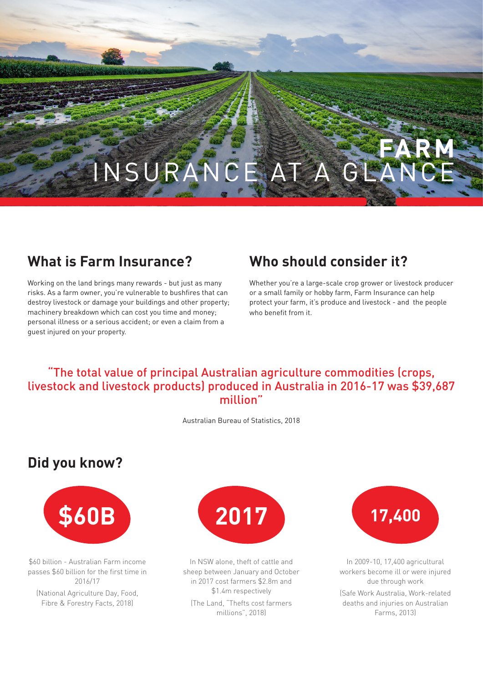# **FARM** INSURANCE AT A GLA

#### **What is Farm Insurance?**

Working on the land brings many rewards - but just as many risks. As a farm owner, you're vulnerable to bushfires that can destroy livestock or damage your buildings and other property; machinery breakdown which can cost you time and money; personal illness or a serious accident; or even a claim from a guest injured on your property.

#### **Who should consider it?**

Whether you're a large-scale crop grower or livestock producer or a small family or hobby farm, Farm Insurance can help protect your farm, it's produce and livestock - and the people who benefit from it.

#### "The total value of principal Australian agriculture commodities (crops, livestock and livestock products) produced in Australia in 2016-17 was \$39,687 million"

Australian Bureau of Statistics, 2018

#### **Did you know?**



\$60 billion - Australian Farm income passes \$60 billion for the first time in 2016/17

(National Agriculture Day, Food, Fibre & Forestry Facts, 2018)



In NSW alone, theft of cattle and sheep between January and October in 2017 cost farmers \$2.8m and \$1.4m respectively (The Land, "Thefts cost farmers millions", 2018)



In 2009-10, 17,400 agricultural workers become ill or were injured due through work

(Safe Work Australia, Work-related deaths and injuries on Australian Farms, 2013)